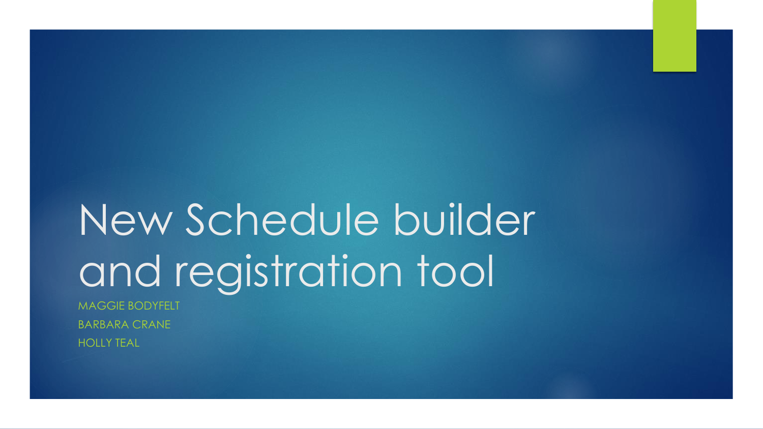# New Schedule builder and registration tool

MAGGIE BODYFELT BARBARA CRANE HOLLY TEAL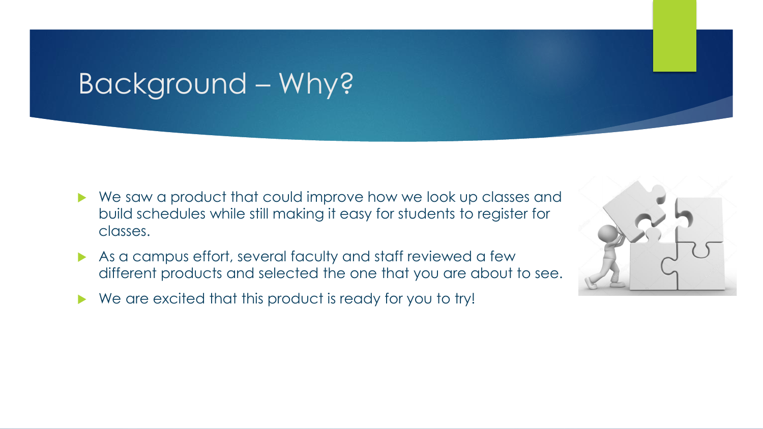### Background – Why?

- ▶ We saw a product that could improve how we look up classes and build schedules while still making it easy for students to register for classes.
- As a campus effort, several faculty and staff reviewed a few different products and selected the one that you are about to see.
- We are excited that this product is ready for you to try!

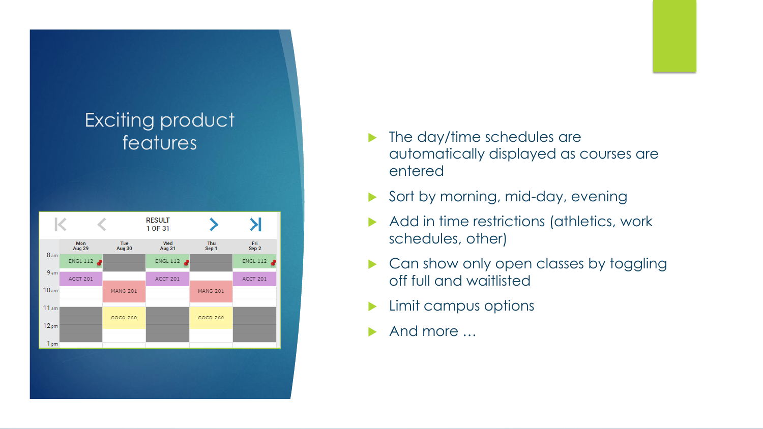

- features **The day/time schedules are** automatically displayed as courses are entered
	- Sort by morning, mid-day, evening
	- Add in time restrictions (athletics, work schedules, other)
	- Can show only open classes by toggling off full and waitlisted
	- Limit campus options
	- And more …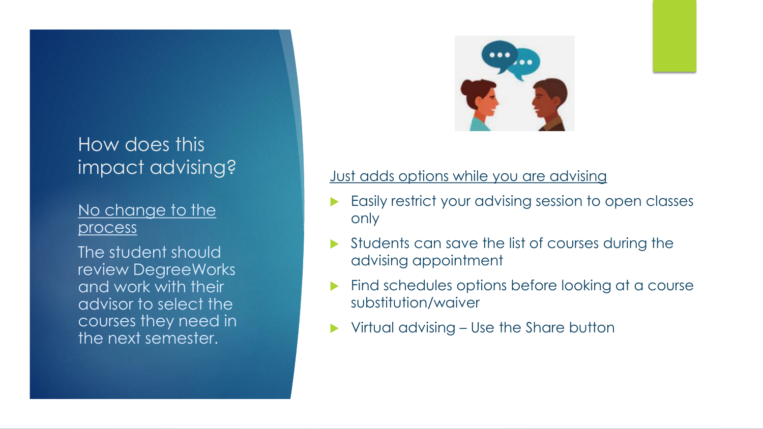# How does this

#### No change to the process

The student should review DegreeWorks and work with their advisor to select the courses they need in the next semester.



### impact advising?<br>and a lust adds options while you are advising

- Easily restrict your advising session to open classes only
- Students can save the list of courses during the advising appointment
- Find schedules options before looking at a course substitution/waiver
- Virtual advising Use the Share button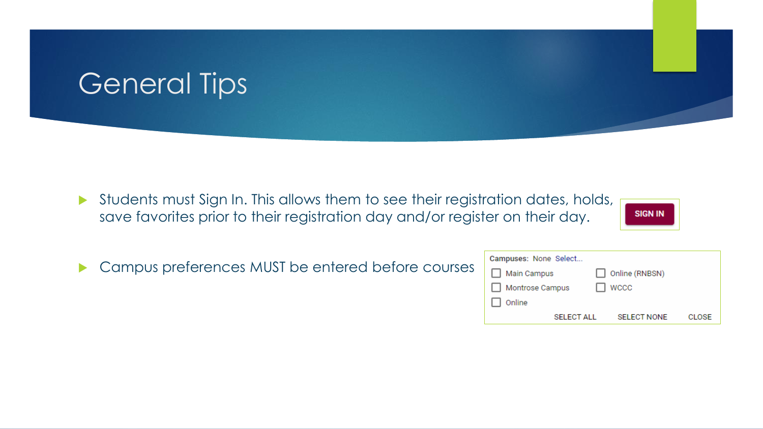### General Tips

Students must Sign In. This allows them to see their registration dates, holds, save favorites prior to their registration day and/or register on their day.



**Campus preferences MUST be entered before courses** 

| Campuses: None Select |                    |        |
|-----------------------|--------------------|--------|
| Main Campus           | Online (RNBSN)     |        |
| Montrose Campus       | <b>WCCC</b>        |        |
| Online                |                    |        |
| <b>SELECT ALL</b>     | <b>SELECT NONE</b> | CI OSE |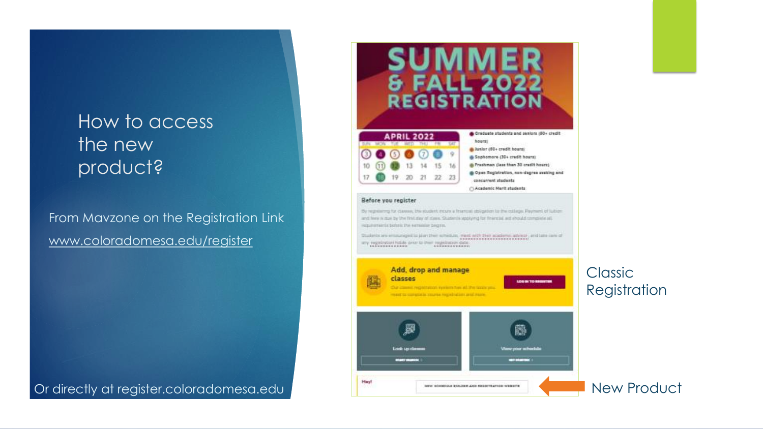### How to access the new product?

From Mavzone on the Registration Link [www.coloradomesa.edu/register](http://www.coloradomesa.edu/register)

Or directly at register.coloradomesa.edu New Product



went to complete marke regainable and more.

Look up dan

**EVERAGE** 

₩

View your schedule

arman

Classic Registration

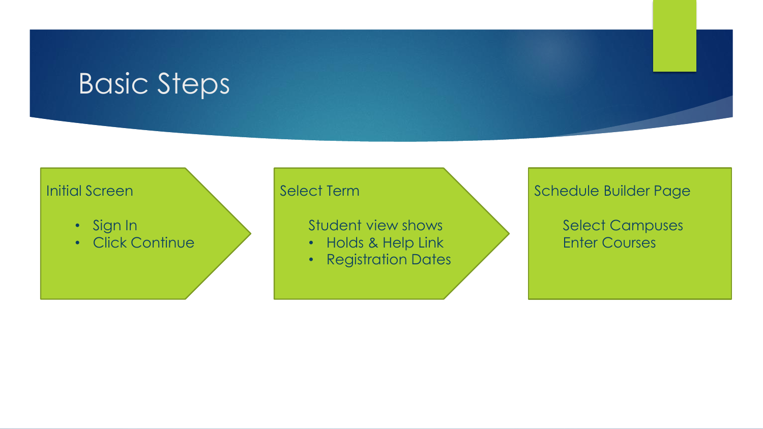### Basic Steps

#### Initial Screen

- Sign In
- Click Continue

#### Select Term

Student view shows

- Holds & Help Link
- Registration Dates

#### Schedule Builder Page

Select Campuses Enter Courses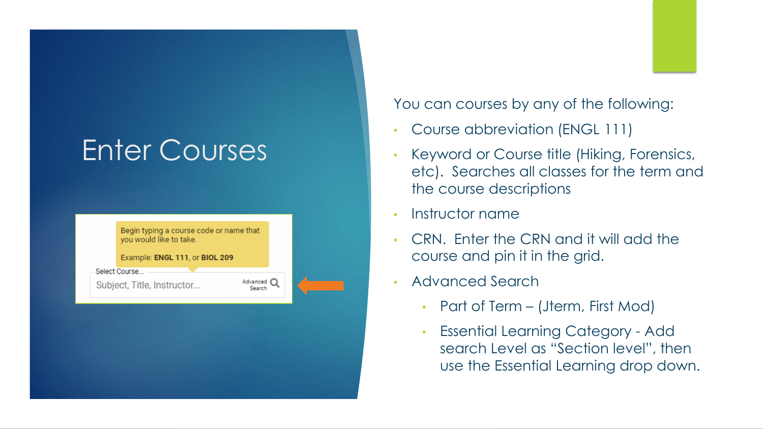## Enter Courses

| Begin typing a course code or name that<br>you would like to take.<br>Example: ENGL 111, or BIOL 209 |                    |  |
|------------------------------------------------------------------------------------------------------|--------------------|--|
| Select Course<br>Subject, Title, Instructor                                                          | Advanced<br>Search |  |
|                                                                                                      |                    |  |
|                                                                                                      |                    |  |
|                                                                                                      |                    |  |

You can courses by any of the following:

- Course abbreviation (ENGL 111)
- Keyword or Course title (Hiking, Forensics, etc). Searches all classes for the term and the course descriptions
- Instructor name
- CRN. Enter the CRN and it will add the course and pin it in the grid.
- Advanced Search
	- Part of Term (Jterm, First Mod)
	- Essential Learning Category Add search Level as "Section level", then use the Essential Learning drop down.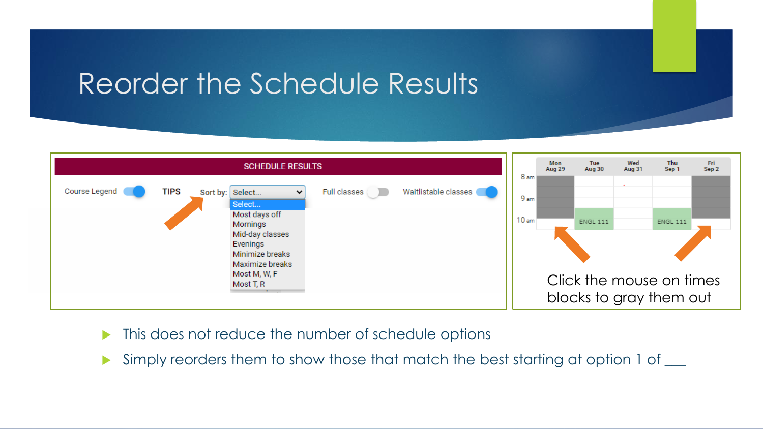### Reorder the Schedule Results



- This does not reduce the number of schedule options
- Simply reorders them to show those that match the best starting at option 1 of  $\_\_$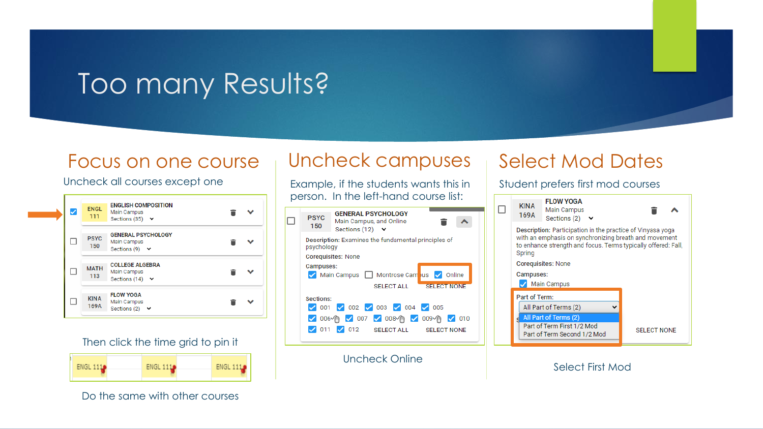### Too many Results?

#### Focus on one course

#### Uncheck all courses except one

| ✓ | <b>ENGL</b><br>111  | <b>ENGLISH COMPOSITION</b><br>Main Campus<br>Sections (35) $\vee$ |  |
|---|---------------------|-------------------------------------------------------------------|--|
|   | <b>PSYC</b><br>150  | <b>GENERAL PSYCHOLOGY</b><br>Main Campus<br>Sections (9) $\vee$   |  |
|   | <b>MATH</b><br>113  | <b>COLLEGE ALGEBRA</b><br>Main Campus<br>Sections (14) $\vee$     |  |
|   | <b>KINA</b><br>169A | <b>FLOW YOGA</b><br>Main Campus<br>Sections (2) $\vee$            |  |

#### Then click the time grid to pin it



Do the same with other courses

### Uncheck campuses

Example, if the students wants this in person. In the left-hand course list:



Uncheck Online

#### Select Mod Dates

Student prefers first mod courses



Select First Mod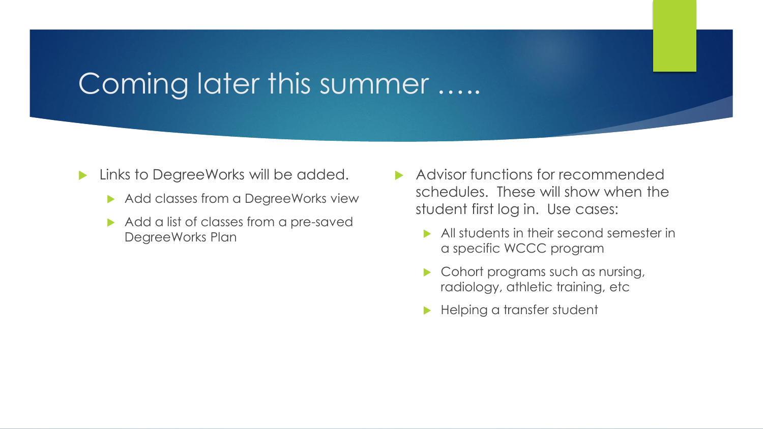### Coming later this summer …..

- **Links to DegreeWorks will be added.** 
	- Add classes from a DegreeWorks view
	- Add a list of classes from a pre-saved DegreeWorks Plan
- Advisor functions for recommended schedules. These will show when the student first log in. Use cases:
	- All students in their second semester in a specific WCCC program
	- Cohort programs such as nursing, radiology, athletic training, etc
	- **Helping a transfer student**